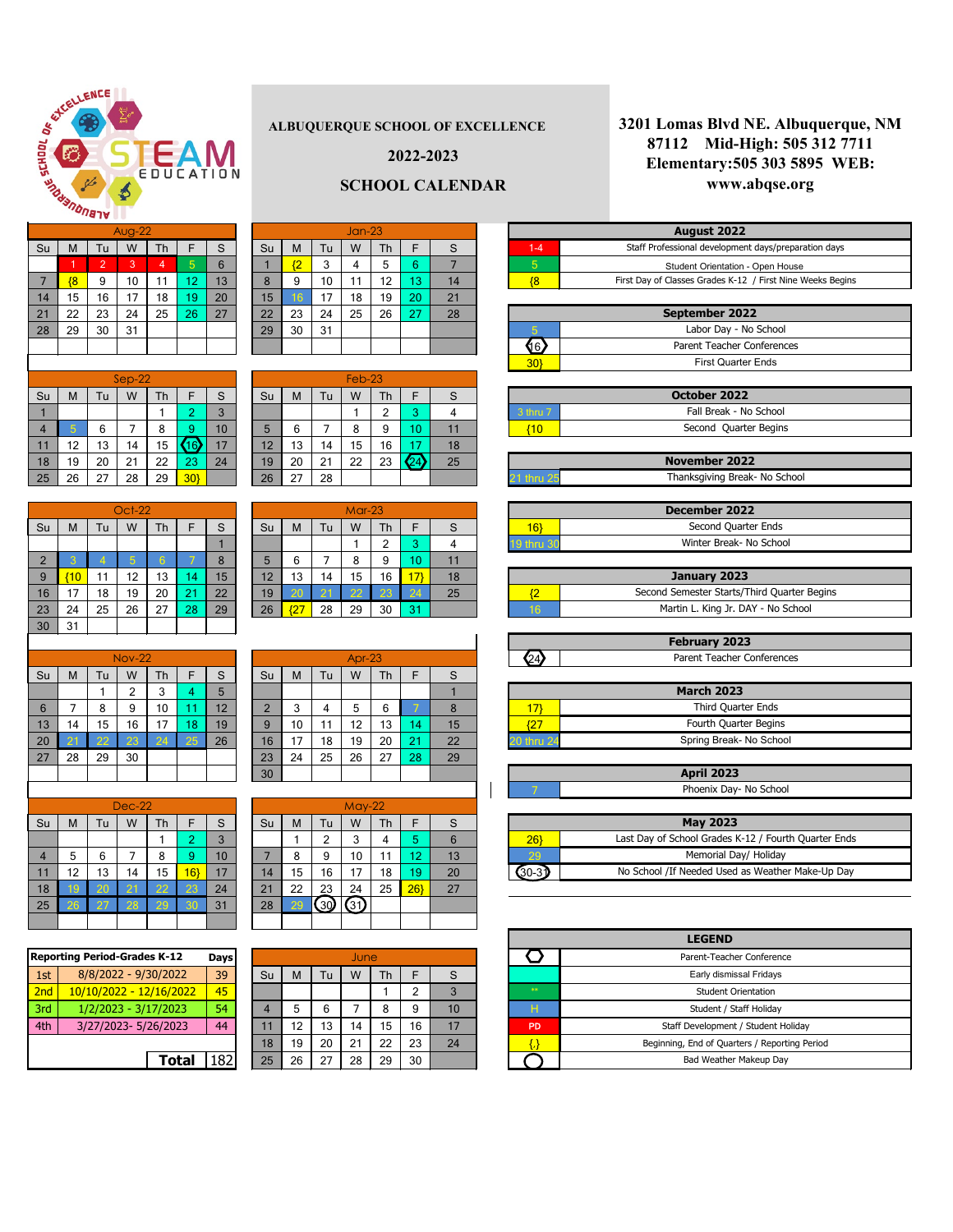### **ALBUQUERQUE SCHOOL OF EXCELLENCE**

# $\text{Su}$  M  $\text{Tu}$  W  $\text{Th}$   $\text{F}$  S  $\text{Su}$  M  $\text{Tu}$  W  $\text{Th}$   $\text{F}$  S 1 2 3 4 5 6 1 <mark>2</mark> 3 4 5 6 7 5 7 <mark>| {8 |</mark> 9 | 10 | 11 | 12 | 13 | | 8 | 9 | 10 | 11 | 12 <mark>| 13 |</mark> 14 | <mark>| {8</mark> 14 | 15 | 16 | 17 | 18 <mark>| 19</mark> | 20 | | 15 **|** 16 | 17 | 18 | 19 <mark>| 20 |</mark> 21 21 | 22 | 23 | 24 | 25 <mark>| 26 |</mark> 27 | | 22 | 23 | 24 | 25 | 26 <mark>| 27 |</mark> 28 28 29 30 31 29 30 31 5

| $\overline{2}$  | ൗ      |    | 5 <sup>5</sup> | 6 <sup>1</sup> |    |    | 5  | 6               |       | 8  | 9  | 10 <sub>1</sub> |    |   |
|-----------------|--------|----|----------------|----------------|----|----|----|-----------------|-------|----|----|-----------------|----|---|
| 9 <sup>°</sup>  | ${10}$ | 11 | 12             | 13             | 14 | 15 | 12 | 13              | 14    | 15 | 16 | $17$ }          |    |   |
| 16 <sup>°</sup> | 17     | 18 | 19             | 20             | 21 | 22 | 19 | 20 <sub>1</sub> | $-21$ | 22 | 23 | $\sqrt{24}$     | 25 | m |
| 23              | 24     | 25 | 26             | 27             | 28 | 29 | 26 | $\overline{27}$ | 28    | 29 | 30 | $-31$           |    |   |

| <b>February 2023</b>       |  |
|----------------------------|--|
| Parent Teacher Conferences |  |

|           | S  | F           | Th             | W        | Tu | M  | Su | S  | F               | Th | W             | Tu            | M                                  | Su             |
|-----------|----|-------------|----------------|----------|----|----|----|----|-----------------|----|---------------|---------------|------------------------------------|----------------|
| 3 thru 7  | 4  | 3           | $\overline{2}$ |          |    |    |    | 3  | $\overline{2}$  |    |               |               |                                    | $\mathbf{1}$   |
| ${10}$    | 11 | 10          | 9              | 8        | 7  | 6  | 5  | 10 | 9               | 8  | 7             | 6             | 5                                  | $\overline{4}$ |
|           | 18 | 17          | 16             | 15       | 14 | 13 | 12 | 17 | <b>16</b>       | 15 | 14            | 13            | 12                                 | 11             |
|           | 25 | $\sqrt{24}$ | 23             | 22       | 21 | 20 | 19 | 24 | 23              | 22 | 21            | 20            | 19                                 | 18             |
| thru 25   |    |             |                |          | 28 | 27 | 26 |    | 30 <sub>l</sub> | 29 | 28            | 27            | 26                                 | 25             |
|           |    |             |                |          |    |    |    |    |                 |    |               |               |                                    |                |
|           |    |             |                | $Mar-23$ |    |    |    |    |                 |    | <b>Oct-22</b> |               |                                    |                |
| 16        | S  | F           | Th             | W        | Tu | M  | Su | S  | F               | Th | W             | Tu            | M                                  | Su             |
| 9 thru 30 | 4  | 3           | $\overline{2}$ |          |    |    |    |    |                 |    |               |               |                                    |                |
|           | 11 | 10          | 9              | 8        | 7  | 6  | 5  | 8  |                 | 6  | 5             | 4             | 3                                  | $\overline{2}$ |
|           |    |             |                |          |    |    |    |    |                 |    |               | $\sim$ $\sim$ | <b><i><u>ALCOHOL: 1999</u></i></b> |                |

**2022-2023**

# **SCHOOL CALENDAR**

|             | December 2022           |
|-------------|-------------------------|
|             | Second Quarter Ends     |
| l19 thru 30 | Winter Break- No School |

|                | <b>September 2022</b>      |
|----------------|----------------------------|
|                | Labor Day - No School      |
| 6 <sup>1</sup> | Parent Teacher Conferences |
|                | <b>First Quarter Ends</b>  |

Feb-23

|                     | October 2022           |
|---------------------|------------------------|
| $3$ thru $\sqrt{ }$ | Fall Break - No School |
|                     | Second Quarter Begins  |

|                 |    |    | <b>Nov-22</b>  |    |    |    |    |                 |    | Apr-23 |    |    |    |                 |
|-----------------|----|----|----------------|----|----|----|----|-----------------|----|--------|----|----|----|-----------------|
| Su              | M  | Tu | W              | Th | F  | S  | Su | M               | Tu | W      | Th | F  | S  |                 |
|                 |    |    | $\overline{2}$ | 3  | 4  | 5  |    |                 |    |        |    |    |    |                 |
| $6\phantom{1}6$ |    | 8  | 9              | 10 | 11 | 12 | ◠  | 3               | 4  | 5      | 6  |    | 8  |                 |
| 13              | 14 | 15 | 16             | 17 | 18 | 19 | 9  | 10 <sup>°</sup> | 11 | 12     | 13 | 14 | 15 | $\overline{27}$ |
| 20              | 21 | 22 | 23             | 24 | 25 | 26 | 16 | 17              | 18 | 19     | 20 | 21 | 22 | thru 24         |
| 27              | 28 | 29 | 30             |    |    |    | 23 | 24              | 25 | 26     | 27 | 28 | 29 |                 |
|                 |    |    |                |    |    |    | 30 |                 |    |        |    |    |    |                 |
|                 |    |    |                |    |    |    |    |                 |    |        |    |    |    |                 |

|                | Oct-22 |    |    |    |    |    |  |  |  |  |  |
|----------------|--------|----|----|----|----|----|--|--|--|--|--|
| Su             | M      | Tu | W  | Th | F  | S  |  |  |  |  |  |
|                |        |    |    |    |    |    |  |  |  |  |  |
| $\overline{2}$ | 3      | 4  | 5  | 6  | 7  | 8  |  |  |  |  |  |
| 9              | 10     | 11 | 12 | 13 | 14 | 15 |  |  |  |  |  |
| 16             | 17     | 18 | 19 | 20 | 21 | 22 |  |  |  |  |  |
| 23             | 24     | 25 | 26 | 27 | 28 | 29 |  |  |  |  |  |
| 30             | 31     |    |    |    |    |    |  |  |  |  |  |

|    |    |    | <b>Nov-22</b>  |    |    |    |
|----|----|----|----------------|----|----|----|
| Su | M  | Tu | W              | Th | F  | S  |
|    |    |    | $\overline{2}$ | 3  | 4  | 5  |
| 6  |    | 8  | 9              | 10 | 11 | 12 |
| 13 | 14 | 15 | 16             | 17 | 18 | 19 |
| 20 | 21 | 22 | 23             | 24 | 25 | 26 |
| 27 | 28 | 29 | 30             |    |    |    |
|    |    |    |                |    |    |    |
|    |    |    |                |    |    |    |

| January 2023                                |  |  |  |  |  |  |  |  |  |  |
|---------------------------------------------|--|--|--|--|--|--|--|--|--|--|
| Second Semester Starts/Third Quarter Begins |  |  |  |  |  |  |  |  |  |  |
| Martin L. King Jr. DAY - No School          |  |  |  |  |  |  |  |  |  |  |

|    |    |    | <b>Dec-22</b>   |    |    |    |    |                 |    |      |    |    |    |    |
|----|----|----|-----------------|----|----|----|----|-----------------|----|------|----|----|----|----|
| Su | M  | Tu | W               | Th | F  | S  | Su | M               | Tu | W    | Th | F  | S  |    |
|    |    |    |                 |    | 2  | 3  |    |                 | າ  | 3    | 4  | 5  | 6  | 26 |
| 4  | 5  | 6  |                 | 8  | 9  | 10 |    | 8               | 9  | 10   | 11 | 12 | 13 | 29 |
| 11 | 12 | 13 | 14              | 15 | 16 | 17 | 14 | 15 <sub>2</sub> | 16 | 17   | 18 | 19 | 20 |    |
| 18 | 19 | 20 | $\overline{21}$ | 22 | 23 | 24 | 21 | 22              | 23 | 24   | 25 | 26 | 27 |    |
| 25 | 26 | 27 | 28              | 29 | 30 | 31 | 28 | 29              | 30 | (31) |    |    |    |    |
|    |    |    |                 |    |    |    |    |                 |    |      |    |    |    |    |

| <b>April 2023</b>      |
|------------------------|
| Phoenix Day- No School |

|          | <b>May 2023</b>                                      |  |  |  |  |  |  |  |  |  |  |
|----------|------------------------------------------------------|--|--|--|--|--|--|--|--|--|--|
| 26       | Last Day of School Grades K-12 / Fourth Quarter Ends |  |  |  |  |  |  |  |  |  |  |
| 29       | Memorial Day/ Holiday                                |  |  |  |  |  |  |  |  |  |  |
| $(30-3)$ | No School / If Needed Used as Weather Make-Up Day    |  |  |  |  |  |  |  |  |  |  |

| <b>Reporting Period-Grades K-12</b><br>Days |                         |     | June |    |    |    |    |    |                |
|---------------------------------------------|-------------------------|-----|------|----|----|----|----|----|----------------|
| 1st                                         | 8/8/2022 - 9/30/2022    | 39  | Su   | М  | Tu | W  | Th | F  | S              |
| 2nd                                         | 10/10/2022 - 12/16/2022 | 45  |      |    |    |    |    | 2  | 3              |
| 3rd                                         | 1/2/2023 - 3/17/2023    | 54  | 4    | 5  | 6  |    | 8  | 9  | 1 <sub>1</sub> |
| 4th                                         | 3/27/2023-5/26/2023     | 44  | 11   | 12 | 13 | 14 | 15 | 16 |                |
|                                             |                         | 18  | 19   | 20 | 21 | 22 | 23 | 24 |                |
|                                             | <b>Total</b>            | 182 | 25   | 26 | 27 | 28 | 29 | 30 |                |

|                 | <b>Reporting Period-Grades K-12</b> | Days |  |    |    | June |    |    |    |    |                        |
|-----------------|-------------------------------------|------|--|----|----|------|----|----|----|----|------------------------|
| 1st             | 8/8/2022 - 9/30/2022                | 39   |  | Su | M  | Tu   | W  | Тh | F  | S  |                        |
| 2 <sub>nd</sub> | 10/10/2022 - 12/16/2022             | 45   |  |    |    |      |    |    | 2  | 3  | $\langle \psi \rangle$ |
| 3rd             | 1/2/2023 - 3/17/2023                | 54   |  | 4  | 5  | 6    |    | 8  | 9  | 10 | н                      |
| 4th             | 3/27/2023-5/26/2023                 | 44   |  | 11 | 12 | 13   | 14 | 15 | 16 | 17 | PD                     |
|                 |                                     |      |  | 18 | 19 | 20   | 21 | 22 | 23 | 24 |                        |
|                 | Total                               | .82  |  | 25 | 26 | 27   | 28 | 29 | 30 |    |                        |

| <b>LEGEND</b> |                                               |  |  |  |  |  |  |  |  |
|---------------|-----------------------------------------------|--|--|--|--|--|--|--|--|
|               | Parent-Teacher Conference                     |  |  |  |  |  |  |  |  |
|               | Early dismissal Fridays                       |  |  |  |  |  |  |  |  |
| 宗宗            | <b>Student Orientation</b>                    |  |  |  |  |  |  |  |  |
| н             | Student / Staff Holiday                       |  |  |  |  |  |  |  |  |
| <b>PD</b>     | Staff Development / Student Holiday           |  |  |  |  |  |  |  |  |
|               | Beginning, End of Quarters / Reporting Period |  |  |  |  |  |  |  |  |
|               | Bad Weather Makeup Day                        |  |  |  |  |  |  |  |  |

| <b>November 2022</b> |                               |  |  |  |  |  |  |  |
|----------------------|-------------------------------|--|--|--|--|--|--|--|
| 21 thru 25           | Thanksgiving Break- No School |  |  |  |  |  |  |  |

| August 2022 |                                                            |  |  |  |  |  |  |  |  |  |  |
|-------------|------------------------------------------------------------|--|--|--|--|--|--|--|--|--|--|
| $1 - 4$     | Staff Professional development days/preparation days       |  |  |  |  |  |  |  |  |  |  |
| 5           | <b>Student Orientation - Open House</b>                    |  |  |  |  |  |  |  |  |  |  |
|             | First Day of Classes Grades K-12 / First Nine Weeks Begins |  |  |  |  |  |  |  |  |  |  |

|                    | <b>March 2023</b> |                         |  |  |  |  |  |  |  |  |  |
|--------------------|-------------------|-------------------------|--|--|--|--|--|--|--|--|--|
| Third Quarter Ends |                   |                         |  |  |  |  |  |  |  |  |  |
|                    |                   | Fourth Quarter Begins   |  |  |  |  |  |  |  |  |  |
|                    | 0 thru 24         | Spring Break- No School |  |  |  |  |  |  |  |  |  |



|    | $Sep-22$ |    |    |    |           |    |  |  |  |  |  |  |
|----|----------|----|----|----|-----------|----|--|--|--|--|--|--|
| Su | M        | Tu | W  | Th | F         | S  |  |  |  |  |  |  |
|    |          |    |    |    | 2         | 3  |  |  |  |  |  |  |
| 4  | 5        | 6  |    | 8  | 9         | 10 |  |  |  |  |  |  |
| 11 | 12       | 13 | 14 | 15 | <b>16</b> | 17 |  |  |  |  |  |  |
| 18 | 19       | 20 | 21 | 22 | 23        | 24 |  |  |  |  |  |  |
| 25 | 26       | 27 | 28 | 29 | 30        |    |  |  |  |  |  |  |

## **3201 Lomas Blvd NE. Albuquerque, NM 87112 Mid-High: 505 312 7711 Elementary:505 303 5895 WEB: www.abqse.org**

|    | $Dec-22$ |    |    |    |                |    |  |  |  |  |  |  |
|----|----------|----|----|----|----------------|----|--|--|--|--|--|--|
| Su | Μ        | Tu | W  | Th | F              | S  |  |  |  |  |  |  |
|    |          |    |    |    | $\overline{2}$ | 3  |  |  |  |  |  |  |
|    | 5        | 6  |    | 8  | 9              | 10 |  |  |  |  |  |  |
| 11 | 12       | 13 | 14 | 15 | 16}            | 17 |  |  |  |  |  |  |
| 18 | 19       | 20 | 21 | 22 | 23             | 24 |  |  |  |  |  |  |
| つら | 26       | つフ | つえ | ာရ | ঽ∩             | 31 |  |  |  |  |  |  |

H